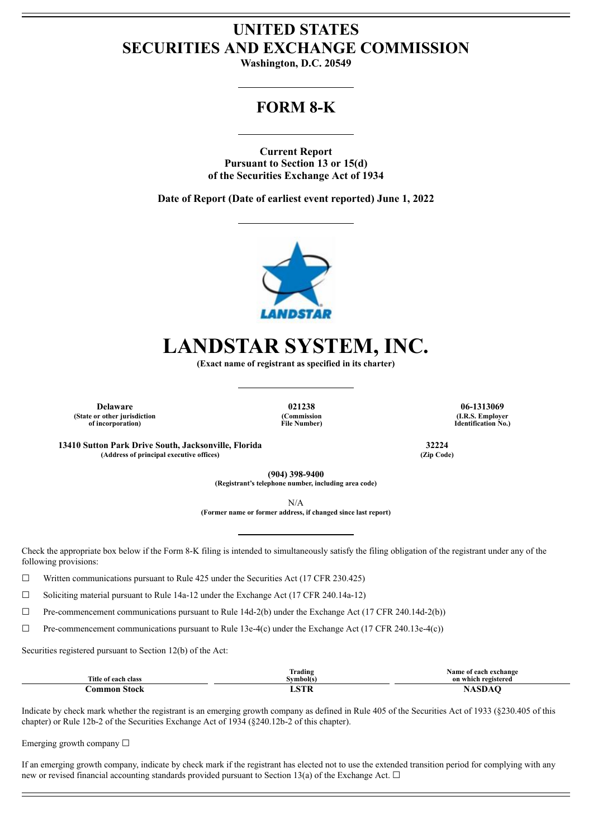## **UNITED STATES SECURITIES AND EXCHANGE COMMISSION**

**Washington, D.C. 20549**

## **FORM 8-K**

**Current Report Pursuant to Section 13 or 15(d) of the Securities Exchange Act of 1934**

**Date of Report (Date of earliest event reported) June 1, 2022**



# **LANDSTAR SYSTEM, INC.**

**(Exact name of registrant as specified in its charter)**

**(State or other jurisdiction of incorporation)**

**(Commission File Number)**

**Delaware 021238 06-1313069 (I.R.S. Employer Identification No.)**

**13410 Sutton Park Drive South, Jacksonville, Florida 32224 (Address of principal executive offices) (Zip Code)**

**(904) 398-9400 (Registrant's telephone number, including area code)**

N/A

**(Former name or former address, if changed since last report)**

Check the appropriate box below if the Form 8-K filing is intended to simultaneously satisfy the filing obligation of the registrant under any of the following provisions:

 $\Box$  Written communications pursuant to Rule 425 under the Securities Act (17 CFR 230.425)

 $\Box$  Soliciting material pursuant to Rule 14a-12 under the Exchange Act (17 CFR 240.14a-12)

 $\Box$  Pre-commencement communications pursuant to Rule 14d-2(b) under the Exchange Act (17 CFR 240.14d-2(b))

 $\Box$  Pre-commencement communications pursuant to Rule 13e-4(c) under the Exchange Act (17 CFR 240.13e-4(c))

Securities registered pursuant to Section 12(b) of the Act:

|                                      | $\sim$<br>. .<br>Trading | Name of each exchange |
|--------------------------------------|--------------------------|-----------------------|
| Title of .<br>f each class           | svmbol(s                 | on which registered   |
| חחו<br>`∩mn<br>$\cdot$ roc $\cdot$ . | <b>OUTED</b>             |                       |

Indicate by check mark whether the registrant is an emerging growth company as defined in Rule 405 of the Securities Act of 1933 (§230.405 of this chapter) or Rule 12b-2 of the Securities Exchange Act of 1934 (§240.12b-2 of this chapter).

Emerging growth company  $\Box$ 

If an emerging growth company, indicate by check mark if the registrant has elected not to use the extended transition period for complying with any new or revised financial accounting standards provided pursuant to Section 13(a) of the Exchange Act.  $\Box$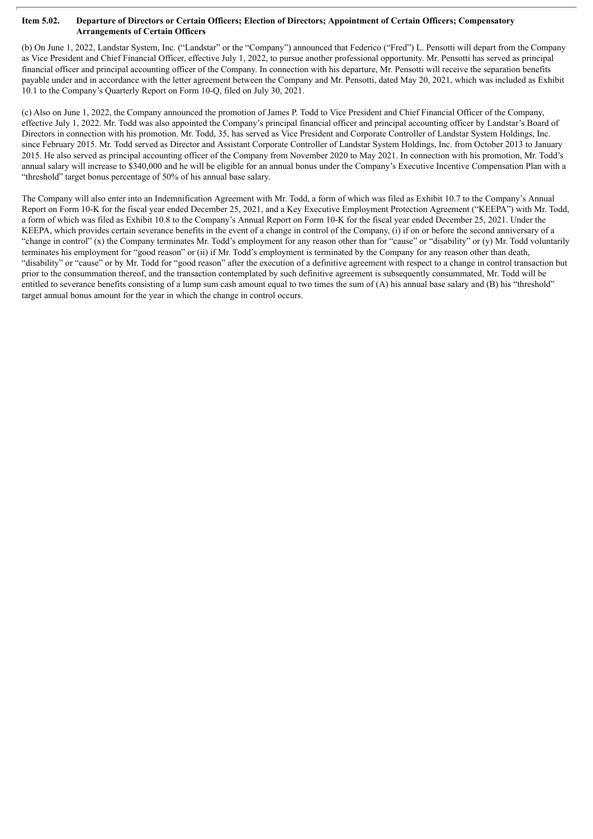#### Item 5.02. Departure of Directors or Certain Officers; Election of Directors; Appointment of Certain Officers; Compensatory **Arrangements of Certain Officers**

(b) On June 1, 2022, Landstar System, Inc. ("Landstar" or the "Company") announced that Federico ("Fred") L. Pensotti will depart from the Company as Vice President and Chief Financial Officer, effective July 1, 2022, to pursue another professional opportunity. Mr. Pensotti has served as principal financial officer and principal accounting officer of the Company. In connection with his departure, Mr. Pensotti will receive the separation benefits payable under and in accordance with the letter agreement between the Company and Mr. Pensotti, dated May 20, 2021, which was included as Exhibit 10.1 to the Company's Quarterly Report on Form 10-Q, filed on July 30, 2021.

(c) Also on June 1, 2022, the Company announced the promotion of James P. Todd to Vice President and Chief Financial Officer of the Company, effective July 1, 2022. Mr. Todd was also appointed the Company's principal financial officer and principal accounting officer by Landstar's Board of Directors in connection with his promotion. Mr. Todd, 35, has served as Vice President and Corporate Controller of Landstar System Holdings, Inc. since February 2015. Mr. Todd served as Director and Assistant Corporate Controller of Landstar System Holdings, Inc. from October 2013 to January 2015. He also served as principal accounting officer of the Company from November 2020 to May 2021. In connection with his promotion, Mr. Todd's annual salary will increase to \$340,000 and he will be eligible for an annual bonus under the Company's Executive Incentive Compensation Plan with a "threshold" target bonus percentage of 50% of his annual base salary.

The Company will also enter into an Indemnification Agreement with Mr. Todd, a form of which was filed as Exhibit 10.7 to the Company's Annual Report on Form 10-K for the fiscal year ended December 25, 2021, and a Key Executive Employment Protection Agreement ("KEEPA") with Mr. Todd, a form of which was filed as Exhibit 10.8 to the Company's Annual Report on Form 10-K for the fiscal year ended December 25, 2021. Under the KEEPA, which provides certain severance benefits in the event of a change in control of the Company, (i) if on or before the second anniversary of a "change in control" (x) the Company terminates Mr. Todd's employment for any reason other than for "cause" or "disability" or (y) Mr. Todd voluntarily terminates his employment for "good reason" or (ii) if Mr. Todd's employment is terminated by the Company for any reason other than death, "disability" or "cause" or by Mr. Todd for "good reason" after the execution of a definitive agreement with respect to a change in control transaction but prior to the consummation thereof, and the transaction contemplated by such definitive agreement is subsequently consummated, Mr. Todd will be entitled to severance benefits consisting of a lump sum cash amount equal to two times the sum of (A) his annual base salary and (B) his "threshold" target annual bonus amount for the year in which the change in control occurs.